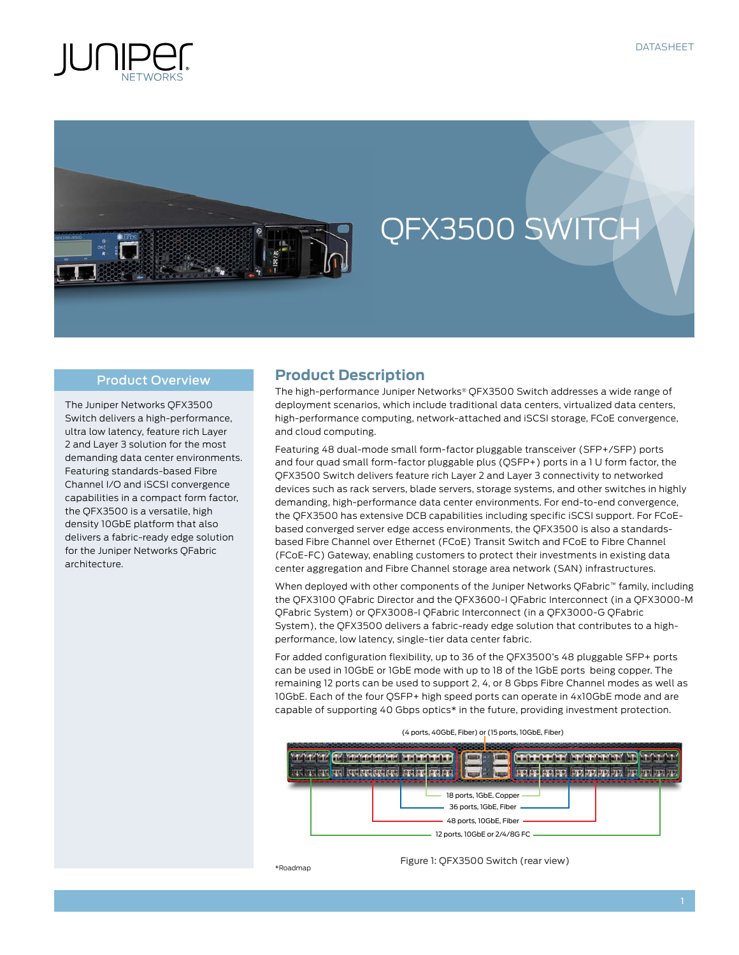



#### Product Overview

The Juniper Networks QFX3500 Switch delivers a high-performance, ultra low latency, feature rich Layer 2 and Layer 3 solution for the most demanding data center environments. Featuring standards-based Fibre Channel I/O and iSCSI convergence capabilities in a compact form factor, the QFX3500 is a versatile, high density 10GbE platform that also delivers a fabric-ready edge solution for the Juniper Networks QFabric architecture.

# **Product Description**

The high-performance Juniper Networks® QFX3500 Switch addresses a wide range of deployment scenarios, which include traditional data centers, virtualized data centers, high-performance computing, network-attached and iSCSI storage, FCoE convergence, and cloud computing.

Featuring 48 dual-mode small form-factor pluggable transceiver (SFP+/SFP) ports and four quad small form-factor pluggable plus (QSFP+) ports in a 1 U form factor, the QFX3500 Switch delivers feature rich Layer 2 and Layer 3 connectivity to networked devices such as rack servers, blade servers, storage systems, and other switches in highly demanding, high-performance data center environments. For end-to-end convergence, the QFX3500 has extensive DCB capabilities including specific iSCSI support. For FCoEbased converged server edge access environments, the QFX3500 is also a standardsbased Fibre Channel over Ethernet (FCoE) Transit Switch and FCoE to Fibre Channel (FCoE-FC) Gateway, enabling customers to protect their investments in existing data center aggregation and Fibre Channel storage area network (SAN) infrastructures.

When deployed with other components of the Juniper Networks QFabric™ family, including the QFX3100 QFabric Director and the QFX3600-I QFabric Interconnect (in a QFX3000-M QFabric System) or QFX3008-I QFabric Interconnect (in a QFX3000-G QFabric System), the QFX3500 delivers a fabric-ready edge solution that contributes to a highperformance, low latency, single-tier data center fabric.

For added configuration flexibility, up to 36 of the QFX3500's 48 pluggable SFP+ ports can be used in 10GbE or 1GbE mode with up to 18 of the 1GbE ports being copper. The remaining 12 ports can be used to support 2, 4, or 8 Gbps Fibre Channel modes as well as 10GbE. Each of the four QSFP+ high speed ports can operate in 4x10GbE mode and are capable of supporting 40 Gbps optics\* in the future, providing investment protection.



(4 ports, 40GbE, Fiber) or (15 ports, 10GbE, Fiber)

\*Roadmap

Figure 1: QFX3500 Switch (rear view)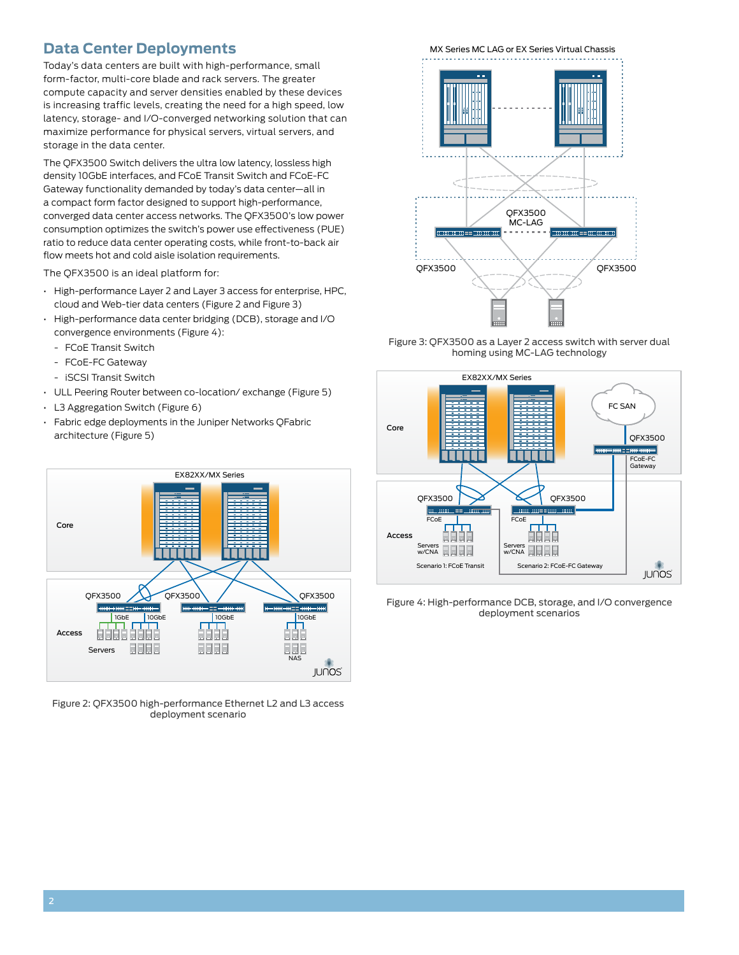# **Data Center Deployments**

Today's data centers are built with high-performance, small form-factor, multi-core blade and rack servers. The greater compute capacity and server densities enabled by these devices is increasing traffic levels, creating the need for a high speed, low latency, storage- and I/O-converged networking solution that can maximize performance for physical servers, virtual servers, and storage in the data center.

The QFX3500 Switch delivers the ultra low latency, lossless high density 10GbE interfaces, and FCoE Transit Switch and FCoE-FC Gateway functionality demanded by today's data center—all in a compact form factor designed to support high-performance, converged data center access networks. The QFX3500's low power consumption optimizes the switch's power use effectiveness (PUE) ratio to reduce data center operating costs, while front-to-back air flow meets hot and cold aisle isolation requirements.

The QFX3500 is an ideal platform for:

- • High-performance Layer 2 and Layer 3 access for enterprise, HPC, cloud and Web-tier data centers (Figure 2 and Figure 3)
- • High-performance data center bridging (DCB), storage and I/O convergence environments (Figure 4):
	- FCoE Transit Switch
	- FCoE-FC Gateway
	- iSCSI Transit Switch
- ULL Peering Router between co-location/ exchange (Figure 5)
- • L3 Aggregation Switch (Figure 6)
- • Fabric edge deployments in the Juniper Networks QFabric architecture (Figure 5)



Figure 2: QFX3500 high-performance Ethernet L2 and L3 access deployment scenario

MX Series MC LAG or EX Series Virtual Chassis



Figure 3: QFX3500 as a Layer 2 access switch with server dual homing using MC-LAG technology



Figure 4: High-performance DCB, storage, and I/O convergence deployment scenarios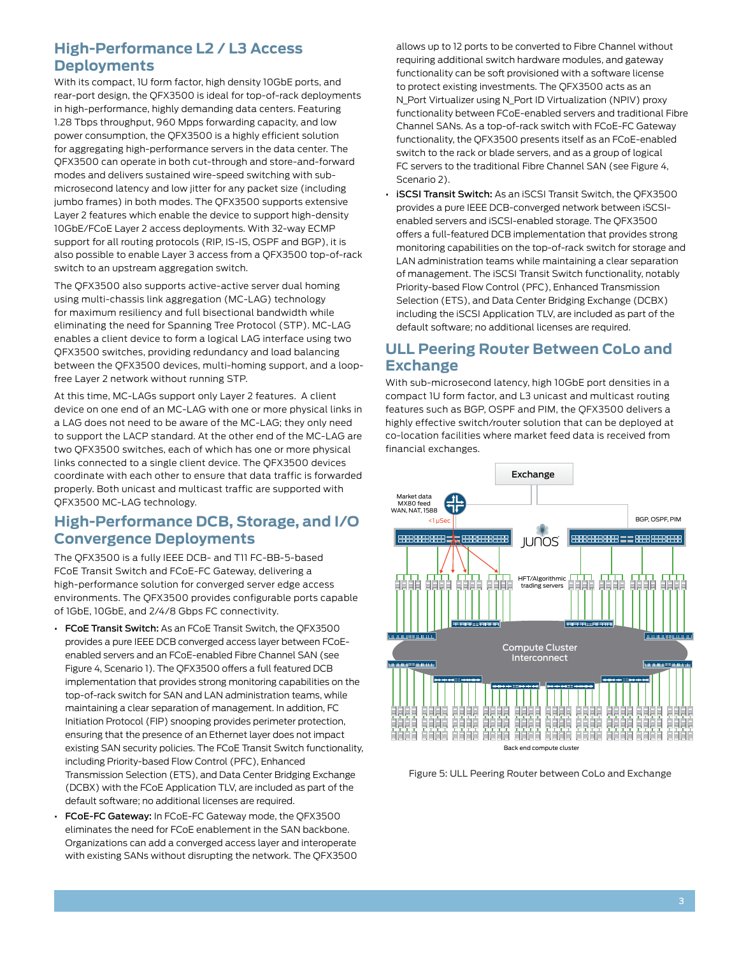# **High-Performance L2 / L3 Access Deployments**

With its compact, 1U form factor, high density 10GbE ports, and rear-port design, the QFX3500 is ideal for top-of-rack deployments in high-performance, highly demanding data centers. Featuring 1.28 Tbps throughput, 960 Mpps forwarding capacity, and low power consumption, the QFX3500 is a highly efficient solution for aggregating high-performance servers in the data center. The QFX3500 can operate in both cut-through and store-and-forward modes and delivers sustained wire-speed switching with submicrosecond latency and low jitter for any packet size (including jumbo frames) in both modes. The QFX3500 supports extensive Layer 2 features which enable the device to support high-density 10GbE/FCoE Layer 2 access deployments. With 32-way ECMP support for all routing protocols (RIP, IS-IS, OSPF and BGP), it is also possible to enable Layer 3 access from a QFX3500 top-of-rack switch to an upstream aggregation switch.

The QFX3500 also supports active-active server dual homing using multi-chassis link aggregation (MC-LAG) technology for maximum resiliency and full bisectional bandwidth while eliminating the need for Spanning Tree Protocol (STP). MC-LAG enables a client device to form a logical LAG interface using two QFX3500 switches, providing redundancy and load balancing between the QFX3500 devices, multi-homing support, and a loopfree Layer 2 network without running STP.

At this time, MC-LAGs support only Layer 2 features. A client device on one end of an MC-LAG with one or more physical links in a LAG does not need to be aware of the MC-LAG; they only need to support the LACP standard. At the other end of the MC-LAG are two QFX3500 switches, each of which has one or more physical links connected to a single client device. The QFX3500 devices coordinate with each other to ensure that data traffic is forwarded properly. Both unicast and multicast traffic are supported with QFX3500 MC-LAG technology.

# **High-Performance DCB, Storage, and I/O Convergence Deployments**

The QFX3500 is a fully IEEE DCB- and T11 FC-BB-5-based FCoE Transit Switch and FCoE-FC Gateway, delivering a high-performance solution for converged server edge access environments. The QFX3500 provides configurable ports capable of 1GbE, 10GbE, and 2/4/8 Gbps FC connectivity.

- FCoE Transit Switch: As an FCoE Transit Switch, the QFX3500 provides a pure IEEE DCB converged access layer between FCoEenabled servers and an FCoE-enabled Fibre Channel SAN (see Figure 4, Scenario 1). The QFX3500 offers a full featured DCB implementation that provides strong monitoring capabilities on the top-of-rack switch for SAN and LAN administration teams, while maintaining a clear separation of management. In addition, FC Initiation Protocol (FIP) snooping provides perimeter protection, ensuring that the presence of an Ethernet layer does not impact existing SAN security policies. The FCoE Transit Switch functionality, including Priority-based Flow Control (PFC), Enhanced Transmission Selection (ETS), and Data Center Bridging Exchange (DCBX) with the FCoE Application TLV, are included as part of the default software; no additional licenses are required.
- FCoE-FC Gateway: In FCoE-FC Gateway mode, the QFX3500 eliminates the need for FCoE enablement in the SAN backbone. Organizations can add a converged access layer and interoperate with existing SANs without disrupting the network. The QFX3500

allows up to 12 ports to be converted to Fibre Channel without requiring additional switch hardware modules, and gateway functionality can be soft provisioned with a software license to protect existing investments. The QFX3500 acts as an N\_Port Virtualizer using N\_Port ID Virtualization (NPIV) proxy functionality between FCoE-enabled servers and traditional Fibre Channel SANs. As a top-of-rack switch with FCoE-FC Gateway functionality, the QFX3500 presents itself as an FCoE-enabled switch to the rack or blade servers, and as a group of logical FC servers to the traditional Fibre Channel SAN (see Figure 4, Scenario 2).

• **iSCSI Transit Switch:** As an iSCSI Transit Switch, the QFX3500 provides a pure IEEE DCB-converged network between iSCSIenabled servers and iSCSI-enabled storage. The QFX3500 offers a full-featured DCB implementation that provides strong monitoring capabilities on the top-of-rack switch for storage and LAN administration teams while maintaining a clear separation of management. The iSCSI Transit Switch functionality, notably Priority-based Flow Control (PFC), Enhanced Transmission Selection (ETS), and Data Center Bridging Exchange (DCBX) including the iSCSI Application TLV, are included as part of the default software; no additional licenses are required.

# **ULL Peering Router Between CoLo and Exchange**

With sub-microsecond latency, high 10GbE port densities in a compact 1U form factor, and L3 unicast and multicast routing features such as BGP, OSPF and PIM, the QFX3500 delivers a highly effective switch/router solution that can be deployed at co-location facilities where market feed data is received from financial exchanges.



Figure 5: ULL Peering Router between CoLo and Exchange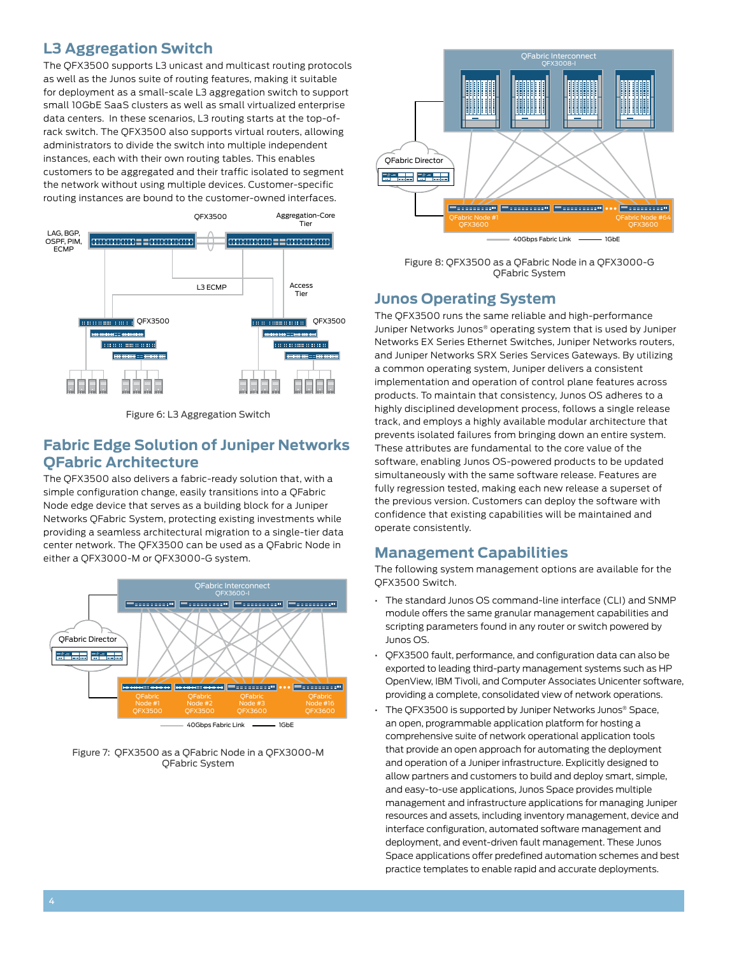# **L3 Aggregation Switch**

The QFX3500 supports L3 unicast and multicast routing protocols as well as the Junos suite of routing features, making it suitable for deployment as a small-scale L3 aggregation switch to support small 10GbE SaaS clusters as well as small virtualized enterprise data centers. In these scenarios, L3 routing starts at the top-ofrack switch. The QFX3500 also supports virtual routers, allowing administrators to divide the switch into multiple independent instances, each with their own routing tables. This enables customers to be aggregated and their traffic isolated to segment the network without using multiple devices. Customer-specific routing instances are bound to the customer-owned interfaces.



Figure 6: L3 Aggregation Switch

# **Fabric Edge Solution of Juniper Networks QFabric Architecture**

The QFX3500 also delivers a fabric-ready solution that, with a simple configuration change, easily transitions into a QFabric Node edge device that serves as a building block for a Juniper Networks QFabric System, protecting existing investments while providing a seamless architectural migration to a single-tier data center network. The QFX3500 can be used as a QFabric Node in either a QFX3000-M or QFX3000-G system.



Figure 7: QFX3500 as a QFabric Node in a QFX3000-M QFabric System



Figure 8: QFX3500 as a QFabric Node in a QFX3000-G QFabric System

# **Junos Operating System**

The QFX3500 runs the same reliable and high-performance Juniper Networks Junos® operating system that is used by Juniper Networks EX Series Ethernet Switches, Juniper Networks routers, and Juniper Networks SRX Series Services Gateways. By utilizing a common operating system, Juniper delivers a consistent implementation and operation of control plane features across products. To maintain that consistency, Junos OS adheres to a highly disciplined development process, follows a single release track, and employs a highly available modular architecture that prevents isolated failures from bringing down an entire system. These attributes are fundamental to the core value of the software, enabling Junos OS-powered products to be updated simultaneously with the same software release. Features are fully regression tested, making each new release a superset of the previous version. Customers can deploy the software with confidence that existing capabilities will be maintained and operate consistently.

# **Management Capabilities**

The following system management options are available for the QFX3500 Switch.

- The standard Junos OS command-line interface (CLI) and SNMP module offers the same granular management capabilities and scripting parameters found in any router or switch powered by Junos OS.
- QFX3500 fault, performance, and configuration data can also be exported to leading third-party management systems such as HP OpenView, IBM Tivoli, and Computer Associates Unicenter software, providing a complete, consolidated view of network operations.
- The QFX3500 is supported by Juniper Networks Junos® Space, an open, programmable application platform for hosting a comprehensive suite of network operational application tools that provide an open approach for automating the deployment and operation of a Juniper infrastructure. Explicitly designed to allow partners and customers to build and deploy smart, simple, and easy-to-use applications, Junos Space provides multiple management and infrastructure applications for managing Juniper resources and assets, including inventory management, device and interface configuration, automated software management and deployment, and event-driven fault management. These Junos Space applications offer predefined automation schemes and best practice templates to enable rapid and accurate deployments.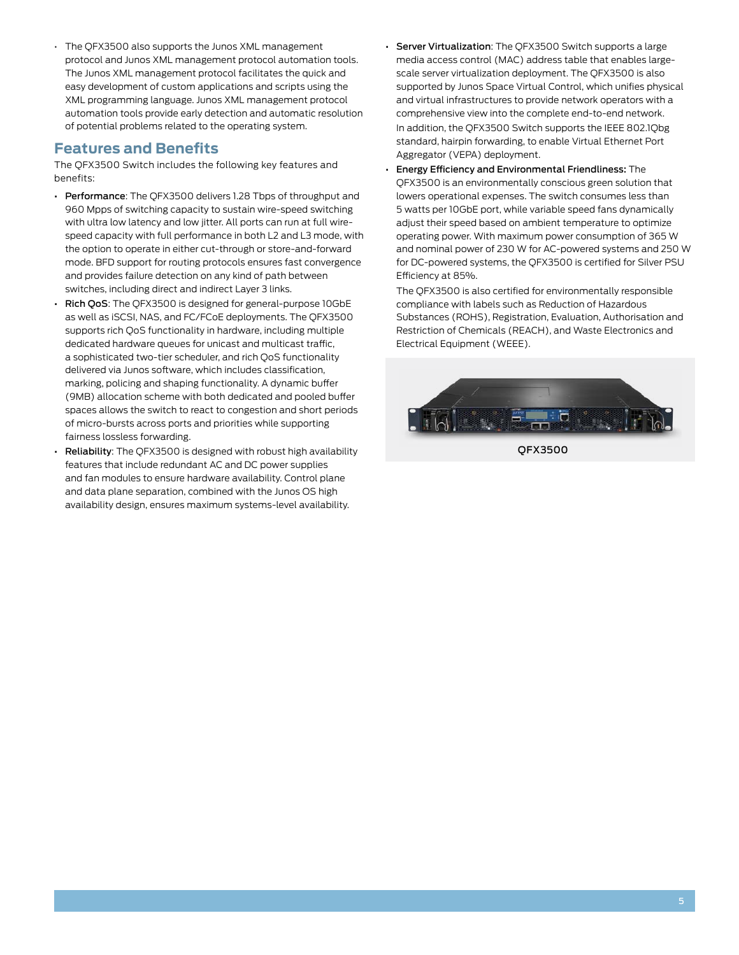• The QFX3500 also supports the Junos XML management protocol and Junos XML management protocol automation tools. The Junos XML management protocol facilitates the quick and easy development of custom applications and scripts using the XML programming language. Junos XML management protocol automation tools provide early detection and automatic resolution of potential problems related to the operating system.

# **Features and Benefits**

The QFX3500 Switch includes the following key features and benefits:

- Performance: The QFX3500 delivers 1.28 Tbps of throughput and 960 Mpps of switching capacity to sustain wire-speed switching with ultra low latency and low jitter. All ports can run at full wirespeed capacity with full performance in both L2 and L3 mode, with the option to operate in either cut-through or store-and-forward mode. BFD support for routing protocols ensures fast convergence and provides failure detection on any kind of path between switches, including direct and indirect Layer 3 links.
- Rich QoS: The QFX3500 is designed for general-purpose 10GbE as well as iSCSI, NAS, and FC/FCoE deployments. The QFX3500 supports rich QoS functionality in hardware, including multiple dedicated hardware queues for unicast and multicast traffic, a sophisticated two-tier scheduler, and rich QoS functionality delivered via Junos software, which includes classification, marking, policing and shaping functionality. A dynamic buffer (9MB) allocation scheme with both dedicated and pooled buffer spaces allows the switch to react to congestion and short periods of micro-bursts across ports and priorities while supporting fairness lossless forwarding.
- Reliability: The QFX3500 is designed with robust high availability features that include redundant AC and DC power supplies and fan modules to ensure hardware availability. Control plane and data plane separation, combined with the Junos OS high availability design, ensures maximum systems-level availability.
- Server Virtualization: The QFX3500 Switch supports a large media access control (MAC) address table that enables largescale server virtualization deployment. The QFX3500 is also supported by Junos Space Virtual Control, which unifies physical and virtual infrastructures to provide network operators with a comprehensive view into the complete end-to-end network. In addition, the QFX3500 Switch supports the IEEE 802.1Qbg standard, hairpin forwarding, to enable Virtual Ethernet Port Aggregator (VEPA) deployment.
- **Energy Efficiency and Environmental Friendliness:** The QFX3500 is an environmentally conscious green solution that lowers operational expenses. The switch consumes less than 5 watts per 10GbE port, while variable speed fans dynamically adjust their speed based on ambient temperature to optimize operating power. With maximum power consumption of 365 W and nominal power of 230 W for AC-powered systems and 250 W for DC-powered systems, the QFX3500 is certified for Silver PSU Efficiency at 85%.

The QFX3500 is also certified for environmentally responsible compliance with labels such as Reduction of Hazardous Substances (ROHS), Registration, Evaluation, Authorisation and Restriction of Chemicals (REACH), and Waste Electronics and Electrical Equipment (WEEE).



QFX3500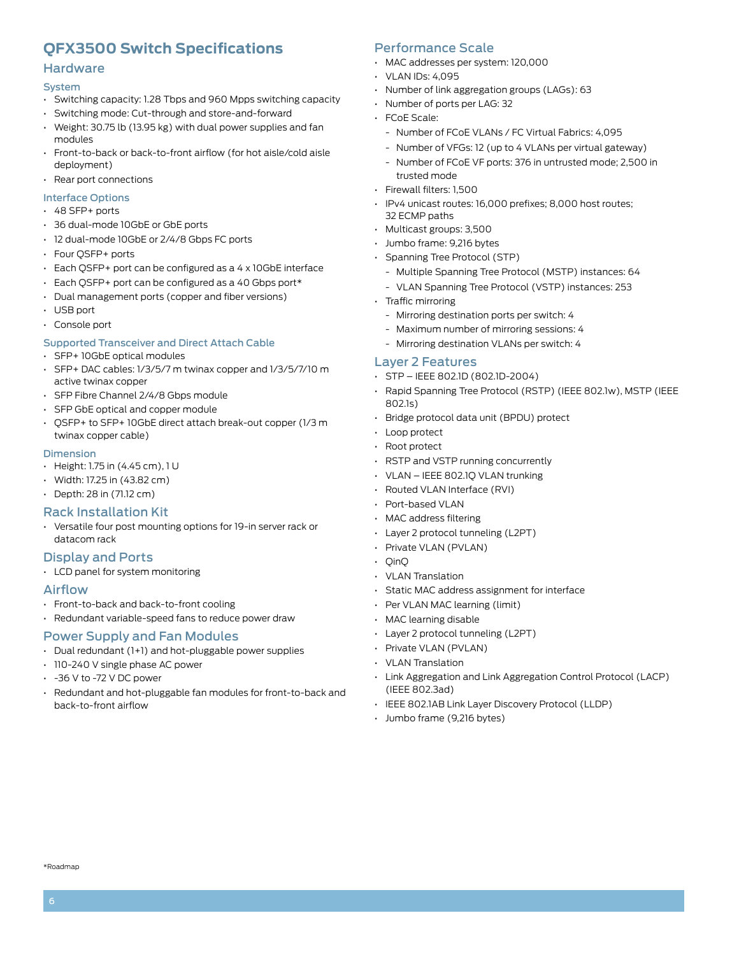# **QFX3500 Switch Specifications**

## Hardware

#### System

- • Switching capacity: 1.28 Tbps and 960 Mpps switching capacity
- • Switching mode: Cut-through and store-and-forward
- Weight: 30.75 lb (13.95 kg) with dual power supplies and fan modules
- Front-to-back or back-to-front airflow (for hot aisle/cold aisle deployment)
- • Rear port connections

#### Interface Options

#### • 48 SFP+ ports

- • 36 dual-mode 10GbE or GbE ports
- • 12 dual-mode 10GbE or 2/4/8 Gbps FC ports
- • Four QSFP+ ports
- $\cdot$  Each OSFP+ port can be configured as a 4 x 10GbE interface
- $\cdot$  Each QSFP+ port can be configured as a 40 Gbps port\*
- • Dual management ports (copper and fiber versions)
- • USB port
- • Console port

#### Supported Transceiver and Direct Attach Cable

- • SFP+ 10GbE optical modules
- SFP+ DAC cables: 1/3/5/7 m twinax copper and 1/3/5/7/10 m active twinax copper
- • SFP Fibre Channel 2/4/8 Gbps module
- • SFP GbE optical and copper module
- • QSFP+ to SFP+ 10GbE direct attach break-out copper (1/3 m twinax copper cable)

#### Dimension

- • Height: 1.75 in (4.45 cm), 1 U
- • Width: 17.25 in (43.82 cm)
- • Depth: 28 in (71.12 cm)

## Rack Installation Kit

• Versatile four post mounting options for 19-in server rack or datacom rack

#### Display and Ports

• LCD panel for system monitoring

## Airflow

- • Front-to-back and back-to-front cooling
- • Redundant variable-speed fans to reduce power draw

#### Power Supply and Fan Modules

- • Dual redundant (1+1) and hot-pluggable power supplies
- • 110-240 V single phase AC power
- • -36 V to -72 V DC power
- Redundant and hot-pluggable fan modules for front-to-back and back-to-front airflow

## Performance Scale

- • MAC addresses per system: 120,000
- **VLAN IDs: 4,095**
- • Number of link aggregation groups (LAGs): 63
- • Number of ports per LAG: 32
- • FCoE Scale:
	- Number of FCoE VLANs / FC Virtual Fabrics: 4,095
	- Number of VFGs: 12 (up to 4 VLANs per virtual gateway)
	- Number of FCoE VF ports: 376 in untrusted mode; 2,500 in trusted mode
- Firewall filters: 1500
- IPv4 unicast routes: 16,000 prefixes; 8,000 host routes; 32 ECMP paths
- • Multicast groups: 3,500
- • Jumbo frame: 9,216 bytes
- • Spanning Tree Protocol (STP)
	- Multiple Spanning Tree Protocol (MSTP) instances: 64
	- VLAN Spanning Tree Protocol (VSTP) instances: 253
- • Traffic mirroring
	- Mirroring destination ports per switch: 4
	- Maximum number of mirroring sessions: 4
	- Mirroring destination VLANs per switch: 4

#### Layer 2 Features

- • STP IEEE 802.1D (802.1D-2004)
- • Rapid Spanning Tree Protocol (RSTP) (IEEE 802.1w), MSTP (IEEE 802.1s)
- Bridge protocol data unit (BPDU) protect
- • Loop protect
- • Root protect
- • RSTP and VSTP running concurrently
- • VLAN IEEE 802.1Q VLAN trunking
- • Routed VLAN Interface (RVI)
- • Port-based VLAN
- • MAC address filtering
- • Layer 2 protocol tunneling (L2PT)
- • Private VLAN (PVLAN)
- • QinQ
- • VLAN Translation
- • Static MAC address assignment for interface
- • Per VLAN MAC learning (limit)
- • MAC learning disable
- • Layer 2 protocol tunneling (L2PT)
- Private VLAN (PVLAN)
- **VLAN Translation**
- • Link Aggregation and Link Aggregation Control Protocol (LACP) (IEEE 802.3ad)
- • IEEE 802.1AB Link Layer Discovery Protocol (LLDP)
- • Jumbo frame (9,216 bytes)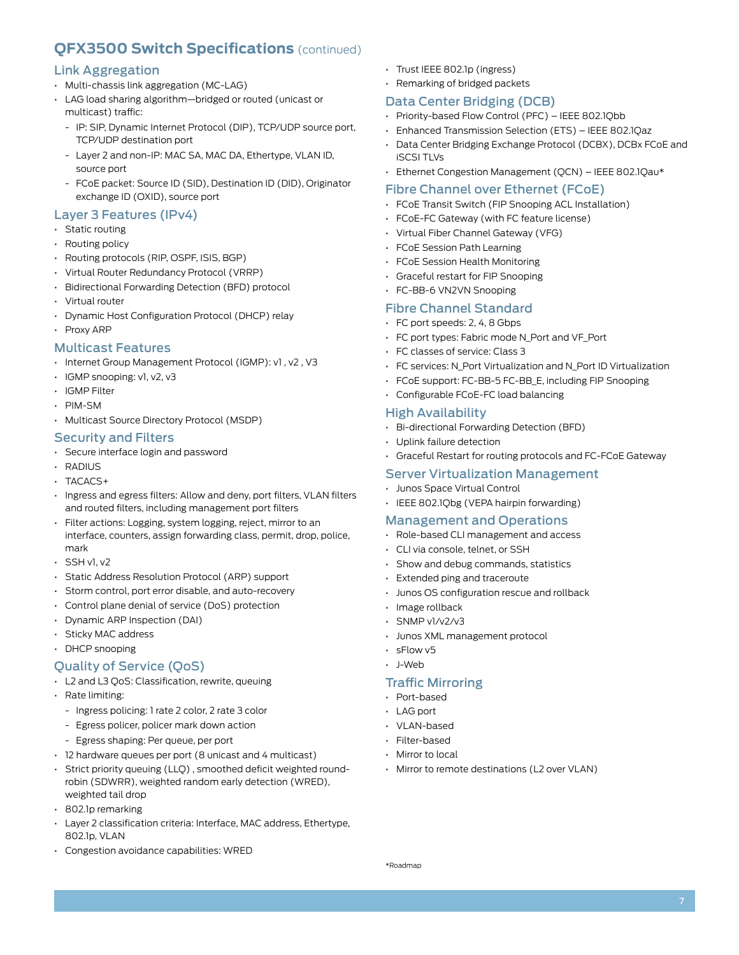# **QFX3500 Switch Specifications** (continued)

## Link Aggregation

- • Multi-chassis link aggregation (MC-LAG)
- • LAG load sharing algorithm—bridged or routed (unicast or multicast) traffic:
	- IP: SIP, Dynamic Internet Protocol (DIP), TCP/UDP source port, TCP/UDP destination port
	- Layer 2 and non-IP: MAC SA, MAC DA, Ethertype, VLAN ID, source port
	- FCoE packet: Source ID (SID), Destination ID (DID), Originator exchange ID (OXID), source port

## Layer 3 Features (IPv4)

- • Static routing
- Routing policy
- • Routing protocols (RIP, OSPF, ISIS, BGP)
- • Virtual Router Redundancy Protocol (VRRP)
- Bidirectional Forwarding Detection (BFD) protocol
- • Virtual router
- Dynamic Host Configuration Protocol (DHCP) relay
- • Proxy ARP

## Multicast Features

- • Internet Group Management Protocol (IGMP): v1 , v2 , V3
- • IGMP snooping: v1, v2, v3
- • IGMP Filter
- • PIM-SM
- • Multicast Source Directory Protocol (MSDP)

### Security and Filters

- • Secure interface login and password
- • RADIUS
- • TACACS+
- Ingress and egress filters: Allow and deny, port filters, VLAN filters and routed filters, including management port filters
- • Filter actions: Logging, system logging, reject, mirror to an interface, counters, assign forwarding class, permit, drop, police, mark
- $\cdot$  SSH v1, v2
- • Static Address Resolution Protocol (ARP) support
- • Storm control, port error disable, and auto-recovery
- • Control plane denial of service (DoS) protection
- • Dynamic ARP Inspection (DAI)
- • Sticky MAC address
- • DHCP snooping

# Quality of Service (QoS)

- • L2 and L3 QoS: Classification, rewrite, queuing
- • Rate limiting:
- Ingress policing: 1 rate 2 color, 2 rate 3 color
- Egress policer, policer mark down action
- Egress shaping: Per queue, per port
- $\cdot$  12 hardware queues per port (8 unicast and 4 multicast)
- • Strict priority queuing (LLQ) , smoothed deficit weighted roundrobin (SDWRR), weighted random early detection (WRED), weighted tail drop
- • 802.1p remarking
- Layer 2 classification criteria: Interface, MAC address, Ethertype, 802.1p, VLAN
- • Congestion avoidance capabilities: WRED
- • Trust IEEE 802.1p (ingress)
- • Remarking of bridged packets

### Data Center Bridging (DCB)

- • Priority-based Flow Control (PFC) IEEE 802.1Qbb
- Enhanced Transmission Selection (ETS) IEEE 802.1Qaz
- • Data Center Bridging Exchange Protocol (DCBX), DCBx FCoE and iSCSI TLVs
- • Ethernet Congestion Management (QCN) IEEE 802.1Qau\*

## Fibre Channel over Ethernet (FCoE)

- FCoE Transit Switch (FIP Snooping ACL Installation)
- • FCoE-FC Gateway (with FC feature license)
- • Virtual Fiber Channel Gateway (VFG)
- • FCoE Session Path Learning
- • FCoE Session Health Monitoring
- • Graceful restart for FIP Snooping
- • FC-BB-6 VN2VN Snooping

## Fibre Channel Standard

- • FC port speeds: 2, 4, 8 Gbps
- • FC port types: Fabric mode N\_Port and VF\_Port
- • FC classes of service: Class 3
- • FC services: N\_Port Virtualization and N\_Port ID Virtualization
- • FCoE support: FC-BB-5 FC-BB\_E, including FIP Snooping
- • Configurable FCoE-FC load balancing

### High Availability

- • Bi-directional Forwarding Detection (BFD)
- • Uplink failure detection
- • Graceful Restart for routing protocols and FC-FCoE Gateway

#### Server Virtualization Management

- • Junos Space Virtual Control
- • IEEE 802.1Qbg (VEPA hairpin forwarding)

#### Management and Operations

- • Role-based CLI management and access
- • CLI via console, telnet, or SSH
- • Show and debug commands, statistics
- • Extended ping and traceroute
- • Junos OS configuration rescue and rollback
- • Image rollback
- • SNMP v1/v2/v3
- • Junos XML management protocol
- • sFlow v5
- • J-Web

## Traffic Mirroring

- • Port-based
- • LAG port
- • VLAN-based
- • Filter-based
- • Mirror to local
- • Mirror to remote destinations (L2 over VLAN)

\*Roadmap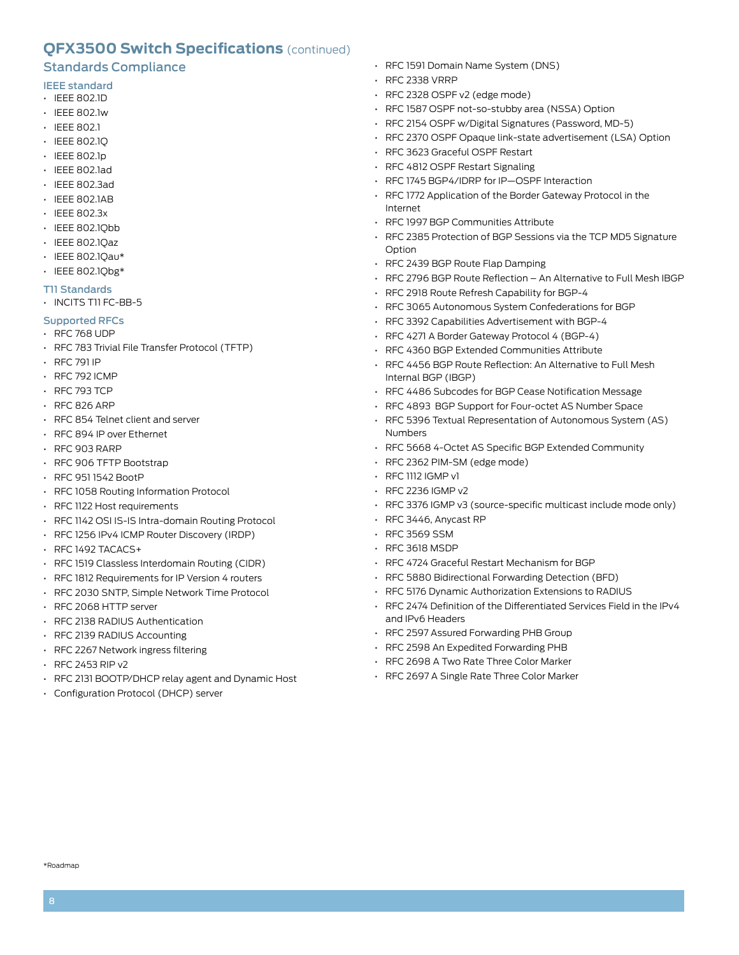# **QFX3500 Switch Specifications** (continued)

## Standards Compliance

## IEEE standard

- • IEEE 802.1D
- • IEEE 802.1w
- • IEEE 802.1
- • IEEE 802.1Q
- IEEE 802.1p
- • IEEE 802.1ad • IEEE 802.3ad
- • IEEE 802.1AB
- • IEEE 802.3x
- IEEE 802.1Qbb
- • IEEE 802.1Qaz
- IEEE 802.1Qau\*
- • IEEE 802.1Qbg\*

### T11 Standards

• INCITS T11 FC-BB-5

## Supported RFCs

#### • RFC 768 UDP

- • RFC 783 Trivial File Transfer Protocol (TFTP)
- • RFC 791 IP
- $\cdot$  RFC 792 ICMP
- • RFC 793 TCP
- $\cdot$  RFC 826 ARP
- • RFC 854 Telnet client and server
- • RFC 894 IP over Ethernet
- • RFC 903 RARP
- • RFC 906 TFTP Bootstrap
- • RFC 951 1542 BootP
- • RFC 1058 Routing Information Protocol
- • RFC 1122 Host requirements
- • RFC 1142 OSI IS-IS Intra-domain Routing Protocol
- • RFC 1256 IPv4 ICMP Router Discovery (IRDP)
- • RFC 1492 TACACS+
- • RFC 1519 Classless Interdomain Routing (CIDR)
- • RFC 1812 Requirements for IP Version 4 routers
- • RFC 2030 SNTP, Simple Network Time Protocol
- • RFC 2068 HTTP server
- • RFC 2138 RADIUS Authentication
- • RFC 2139 RADIUS Accounting
- • RFC 2267 Network ingress filtering
- • RFC 2453 RIP v2
- • RFC 2131 BOOTP/DHCP relay agent and Dynamic Host
- • Configuration Protocol (DHCP) server
- • RFC 1591 Domain Name System (DNS)
- • RFC 2338 VRRP
- • RFC 2328 OSPF v2 (edge mode)
- • RFC 1587 OSPF not-so-stubby area (NSSA) Option
- • RFC 2154 OSPF w/Digital Signatures (Password, MD-5)
- • RFC 2370 OSPF Opaque link-state advertisement (LSA) Option
- • RFC 3623 Graceful OSPF Restart
- • RFC 4812 OSPF Restart Signaling
- • RFC 1745 BGP4/IDRP for IP—OSPF Interaction
- RFC 1772 Application of the Border Gateway Protocol in the Internet
- • RFC 1997 BGP Communities Attribute
- • RFC 2385 Protection of BGP Sessions via the TCP MD5 Signature Option
- • RFC 2439 BGP Route Flap Damping
- • RFC 2796 BGP Route Reflection An Alternative to Full Mesh IBGP
- • RFC 2918 Route Refresh Capability for BGP-4
- RFC 3065 Autonomous System Confederations for BGP
- • RFC 3392 Capabilities Advertisement with BGP-4
- • RFC 4271 A Border Gateway Protocol 4 (BGP-4)
- • RFC 4360 BGP Extended Communities Attribute
- • RFC 4456 BGP Route Reflection: An Alternative to Full Mesh Internal BGP (IBGP)
- RFC 4486 Subcodes for BGP Cease Notification Message
- RFC 4893 BGP Support for Four-octet AS Number Space
- • RFC 5396 Textual Representation of Autonomous System (AS) Numbers
- • RFC 5668 4-Octet AS Specific BGP Extended Community
- • RFC 2362 PIM-SM (edge mode)
- • RFC 1112 IGMP v1
- • RFC 2236 IGMP v2
- RFC 3376 IGMP v3 (source-specific multicast include mode only)
- • RFC 3446, Anycast RP
- • RFC 3569 SSM
- • RFC 3618 MSDP
- • RFC 4724 Graceful Restart Mechanism for BGP
- • RFC 5880 Bidirectional Forwarding Detection (BFD)
- • RFC 5176 Dynamic Authorization Extensions to RADIUS
- • RFC 2474 Definition of the Differentiated Services Field in the IPv4 and IPv6 Headers
- • RFC 2597 Assured Forwarding PHB Group
- • RFC 2598 An Expedited Forwarding PHB
- • RFC 2698 A Two Rate Three Color Marker
- • RFC 2697 A Single Rate Three Color Marker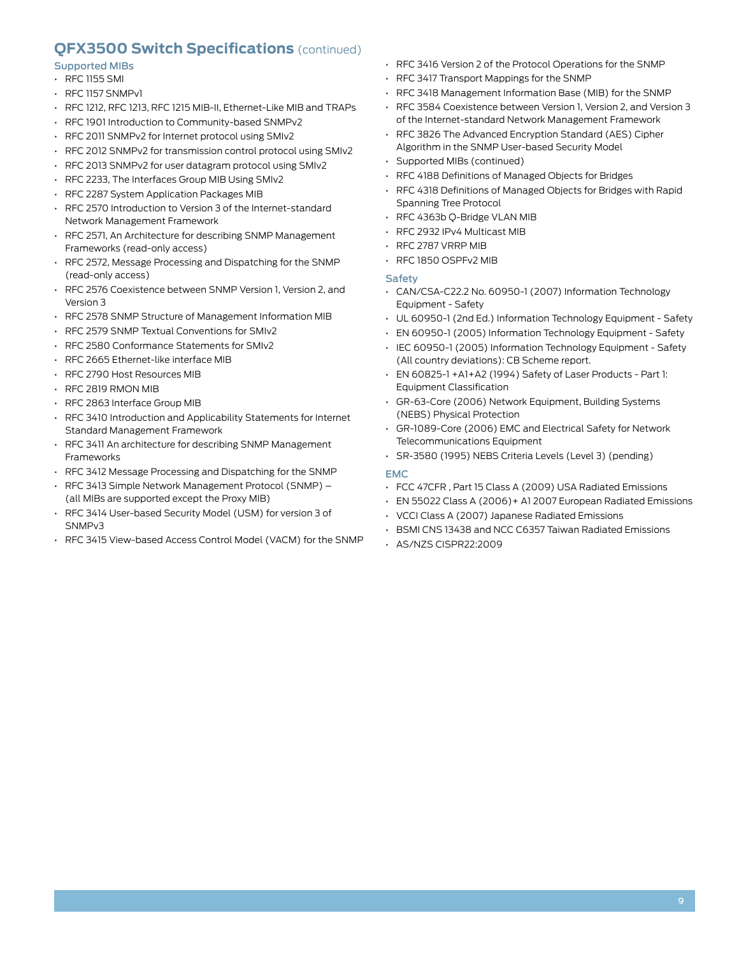# **QFX3500 Switch Specifications** (continued)

## Supported MIBs

- • RFC 1155 SMI
- • RFC 1157 SNMPv1
- RFC 1212, RFC 1213, RFC 1215 MIB-II, Ethernet-Like MIB and TRAPs
- • RFC 1901 Introduction to Community-based SNMPv2
- RFC 2011 SNMPv2 for Internet protocol using SMIv2
- • RFC 2012 SNMPv2 for transmission control protocol using SMIv2
- • RFC 2013 SNMPv2 for user datagram protocol using SMIv2
- • RFC 2233, The Interfaces Group MIB Using SMIv2
- • RFC 2287 System Application Packages MIB
- • RFC 2570 Introduction to Version 3 of the Internet-standard Network Management Framework
- RFC 2571, An Architecture for describing SNMP Management Frameworks (read-only access)
- • RFC 2572, Message Processing and Dispatching for the SNMP (read-only access)
- RFC 2576 Coexistence between SNMP Version 1, Version 2, and Version 3
- • RFC 2578 SNMP Structure of Management Information MIB
- RFC 2579 SNMP Textual Conventions for SMIv2
- • RFC 2580 Conformance Statements for SMIv2
- • RFC 2665 Ethernet-like interface MIB
- • RFC 2790 Host Resources MIB
- • RFC 2819 RMON MIB
- • RFC 2863 Interface Group MIB
- • RFC 3410 Introduction and Applicability Statements for Internet Standard Management Framework
- RFC 3411 An architecture for describing SNMP Management **Frameworks**
- RFC 3412 Message Processing and Dispatching for the SNMP
- • RFC 3413 Simple Network Management Protocol (SNMP) (all MIBs are supported except the Proxy MIB)
- • RFC 3414 User-based Security Model (USM) for version 3 of SNMPv3
- RFC 3415 View-based Access Control Model (VACM) for the SNMP
- RFC 3416 Version 2 of the Protocol Operations for the SNMP
- • RFC 3417 Transport Mappings for the SNMP
- • RFC 3418 Management Information Base (MIB) for the SNMP
- • RFC 3584 Coexistence between Version 1, Version 2, and Version 3 of the Internet-standard Network Management Framework
- • RFC 3826 The Advanced Encryption Standard (AES) Cipher Algorithm in the SNMP User-based Security Model
- • Supported MIBs (continued)
- • RFC 4188 Definitions of Managed Objects for Bridges
- • RFC 4318 Definitions of Managed Objects for Bridges with Rapid Spanning Tree Protocol
- • RFC 4363b Q-Bridge VLAN MIB
- • RFC 2932 IPv4 Multicast MIB
- • RFC 2787 VRRP MIB
- • RFC 1850 OSPFv2 MIB

#### Safety

- • CAN/CSA-C22.2 No. 60950-1 (2007) Information Technology Equipment - Safety
- UL 60950-1 (2nd Ed.) Information Technology Equipment Safety
- • EN 60950-1 (2005) Information Technology Equipment Safety
- • IEC 60950-1 (2005) Information Technology Equipment Safety (All country deviations): CB Scheme report.
- • EN 60825-1 +A1+A2 (1994) Safety of Laser Products Part 1: Equipment Classification
- • GR-63-Core (2006) Network Equipment, Building Systems (NEBS) Physical Protection
- • GR-1089-Core (2006) EMC and Electrical Safety for Network Telecommunications Equipment
- • SR-3580 (1995) NEBS Criteria Levels (Level 3) (pending)

#### EMC

- • FCC 47CFR , Part 15 Class A (2009) USA Radiated Emissions
- • EN 55022 Class A (2006)+ A1 2007 European Radiated Emissions
- • VCCI Class A (2007) Japanese Radiated Emissions
- • BSMI CNS 13438 and NCC C6357 Taiwan Radiated Emissions
- • AS/NZS CISPR22:2009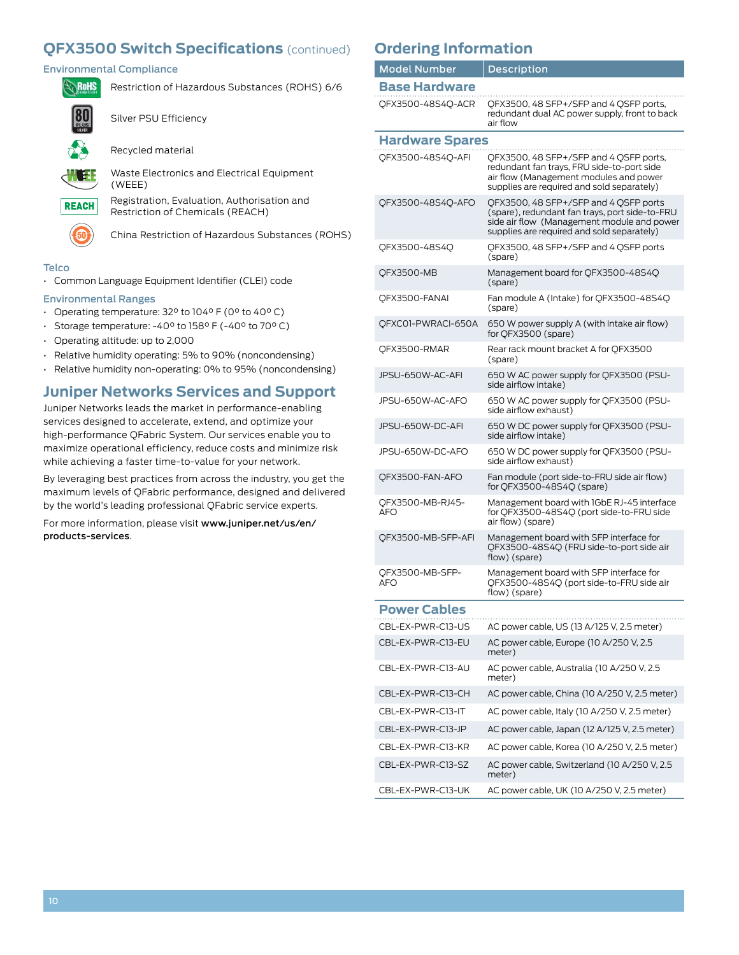# **QFX3500 Switch Specifications** (continued) **Ordering Information**

### Environmental Compliance



Restriction of Hazardous Substances (ROHS) 6/6

Silver PSU Efficiency

Recycled material

Waste Electronics and Electrical Equipment (WEEE)

Registration, Evaluation, Authorisation and Restriction of Chemicals (REACH)



China Restriction of Hazardous Substances (ROHS)

#### **Telco**

• Common Language Equipment Identifier (CLEI) code

#### Environmental Ranges

- Operating temperature: 32° to 104° F (0° to 40° C)
- • Storage temperature: -40° to 158° F (-40° to 70° C)
- $\cdot$  Operating altitude: up to 2,000
- • Relative humidity operating: 5% to 90% (noncondensing)
- Relative humidity non-operating: 0% to 95% (noncondensing)

# **Juniper Networks Services and Support**

Juniper Networks leads the market in performance-enabling services designed to accelerate, extend, and optimize your high-performance QFabric System. Our services enable you to maximize operational efficiency, reduce costs and minimize risk while achieving a faster time-to-value for your network.

By leveraging best practices from across the industry, you get the maximum levels of QFabric performance, designed and delivered by the world's leading professional QFabric service experts.

For more information, please visit [www.juniper.net/us/en/](www.juniper.net/us/en/products-services) [products-services](www.juniper.net/us/en/products-services).

| <b>Model Number</b>           | <b>Description</b>                                                                                                                                                                  |  |
|-------------------------------|-------------------------------------------------------------------------------------------------------------------------------------------------------------------------------------|--|
| <b>Base Hardware</b>          |                                                                                                                                                                                     |  |
| OFX3500-48S4O-ACR             | QFX3500, 48 SFP+/SFP and 4 QSFP ports,<br>redundant dual AC power supply, front to back<br>air flow                                                                                 |  |
| <b>Hardware Spares</b>        |                                                                                                                                                                                     |  |
| QFX3500-48S4Q-AFI             | QFX3500, 48 SFP+/SFP and 4 QSFP ports,<br>redundant fan trays, FRU side-to-port side<br>air flow (Management modules and power<br>supplies are required and sold separately)        |  |
| QFX3500-48S4Q-AFO             | QFX3500, 48 SFP+/SFP and 4 QSFP ports<br>(spare), redundant fan trays, port side-to-FRU<br>side air flow (Management module and power<br>supplies are required and sold separately) |  |
| QFX3500-48S4Q                 | QFX3500, 48 SFP+/SFP and 4 QSFP ports<br>(spare)                                                                                                                                    |  |
| QFX3500-MB                    | Management board for QFX3500-48S4Q<br>(spare)                                                                                                                                       |  |
| QFX3500-FANAI                 | Fan module A (Intake) for OFX3500-48S4O<br>(spare)                                                                                                                                  |  |
| OFXC01-PWRACI-650A            | 650 W power supply A (with Intake air flow)<br>for QFX3500 (spare)                                                                                                                  |  |
| OFX3500-RMAR                  | Rear rack mount bracket A for QFX3500<br>(spare)                                                                                                                                    |  |
| JPSU-650W-AC-AFI              | 650 W AC power supply for OFX3500 (PSU-<br>side airflow intake)                                                                                                                     |  |
| JPSU-650W-AC-AFO              | 650 W AC power supply for QFX3500 (PSU-<br>side airflow exhaust)                                                                                                                    |  |
| JPSU-650W-DC-AFI              | 650 W DC power supply for QFX3500 (PSU-<br>side airflow intake)                                                                                                                     |  |
| JPSU-650W-DC-AFO              | 650 W DC power supply for QFX3500 (PSU-<br>side airflow exhaust)                                                                                                                    |  |
| QFX3500-FAN-AFO               | Fan module (port side-to-FRU side air flow)<br>for QFX3500-48S4Q (spare)                                                                                                            |  |
| OFX3500-MB-RJ45-<br>AFO       | Management board with IGbE RJ-45 interface<br>for QFX3500-48S4Q (port side-to-FRU side<br>air flow) (spare)                                                                         |  |
| OFX3500-MB-SFP-AFI            | Management board with SFP interface for<br>QFX3500-48S4Q (FRU side-to-port side air<br>flow) (spare)                                                                                |  |
| QFX3500-MB-SFP-<br><b>AFO</b> | Management board with SFP interface for<br>QFX3500-48S4Q (port side-to-FRU side air<br>flow) (spare)                                                                                |  |
| <b>Power Cables</b>           |                                                                                                                                                                                     |  |
| CBL-EX-PWR-C13-US             | AC power cable, US (13 A/125 V, 2.5 meter)                                                                                                                                          |  |
| CBL-EX-PWR-C13-EU             | AC power cable, Europe (10 A/250 V, 2.5<br>meter)                                                                                                                                   |  |
| CBL-EX-PWR-C13-AU             | AC power cable, Australia (10 A/250 V, 2.5<br>meter)                                                                                                                                |  |
| CBL-EX-PWR-C13-CH             | AC power cable, China (10 A/250 V, 2.5 meter)                                                                                                                                       |  |
| CBL-EX-PWR-C13-IT             | AC power cable, Italy (10 A/250 V, 2.5 meter)                                                                                                                                       |  |
| CBL-EX-PWR-C13-JP             | AC power cable, Japan (12 A/125 V, 2.5 meter)                                                                                                                                       |  |
| CBL-EX-PWR-C13-KR             | AC power cable, Korea (10 A/250 V, 2.5 meter)                                                                                                                                       |  |
| CBL-EX-PWR-C13-SZ             | AC power cable, Switzerland (10 A/250 V, 2.5<br>meter)                                                                                                                              |  |
| CBL-EX-PWR-C13-UK             | AC power cable, UK (10 A/250 V, 2.5 meter)                                                                                                                                          |  |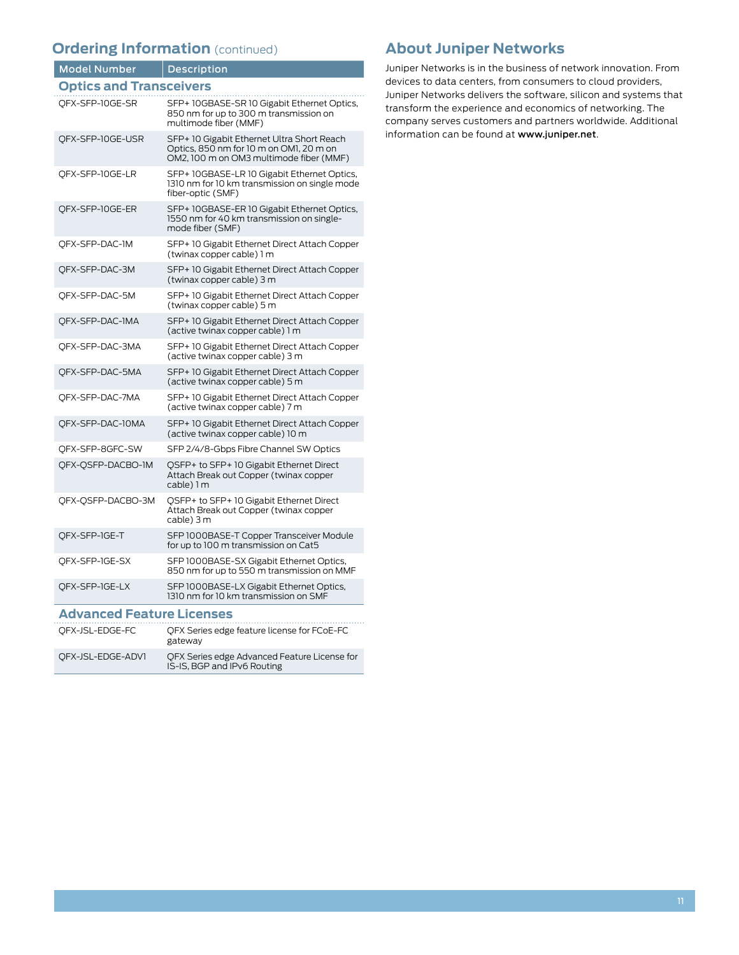# **Ordering Information** (continued) **About Juniper Networks**

## Model Number | Description **Optics and Transceivers**

| Optics and<br><b>Transceivers</b> |                                                                                                                                  |  |
|-----------------------------------|----------------------------------------------------------------------------------------------------------------------------------|--|
| OFX-SFP-10GE-SR                   | SFP+ 10GBASE-SR 10 Gigabit Ethernet Optics,<br>850 nm for up to 300 m transmission on<br>multimode fiber (MMF)                   |  |
| OFX-SFP-10GE-USR                  | SFP+ 10 Gigabit Ethernet Ultra Short Reach<br>Optics, 850 nm for 10 m on OM1, 20 m on<br>OM2, 100 m on OM3 multimode fiber (MMF) |  |
| QFX-SFP-10GE-LR                   | SFP+ 10GBASE-LR 10 Gigabit Ethernet Optics,<br>1310 nm for 10 km transmission on single mode<br>fiber-optic (SMF)                |  |
| OFX-SFP-10GE-ER                   | SFP+10GBASE-ER10 Gigabit Ethernet Optics,<br>1550 nm for 40 km transmission on single-<br>mode fiber (SMF)                       |  |
| QFX-SFP-DAC-1M                    | SFP+ 10 Gigabit Ethernet Direct Attach Copper<br>(twinax copper cable) 1 m                                                       |  |
| OFX-SFP-DAC-3M                    | SFP+ 10 Gigabit Ethernet Direct Attach Copper<br>(twinax copper cable) 3 m                                                       |  |
| OFX-SFP-DAC-5M                    | SFP+ 10 Gigabit Ethernet Direct Attach Copper<br>(twinax copper cable) 5 m                                                       |  |
| QFX-SFP-DAC-IMA                   | SFP+ 10 Gigabit Ethernet Direct Attach Copper<br>(active twinax copper cable) 1 m                                                |  |
| QFX-SFP-DAC-3MA                   | SFP+ 10 Gigabit Ethernet Direct Attach Copper<br>(active twinax copper cable) 3 m                                                |  |
| QFX-SFP-DAC-5MA                   | SFP+ 10 Gigabit Ethernet Direct Attach Copper<br>(active twinax copper cable) 5 m                                                |  |
| QFX-SFP-DAC-7MA                   | SFP+ 10 Gigabit Ethernet Direct Attach Copper<br>(active twinax copper cable) 7 m                                                |  |
| OFX-SFP-DAC-10MA                  | SFP+ 10 Gigabit Ethernet Direct Attach Copper<br>(active twinax copper cable) 10 m                                               |  |
| QFX-SFP-8GFC-SW                   | SFP 2/4/8-Gbps Fibre Channel SW Optics                                                                                           |  |
| OFX-OSFP-DACBO-1M                 | OSFP+ to SFP+ 10 Gigabit Ethernet Direct<br>Attach Break out Copper (twinax copper<br>cable) 1 m                                 |  |
| QFX-QSFP-DACBO-3M                 | OSFP+ to SFP+ 10 Gigabit Ethernet Direct<br>Attach Break out Copper (twinax copper<br>cable) 3 m                                 |  |
| OFX-SFP-IGE-T                     | SFP 1000BASE-T Copper Transceiver Module<br>for up to 100 m transmission on Cat5                                                 |  |
| QFX-SFP-1GE-SX                    | SFP 1000BASE-SX Gigabit Ethernet Optics,<br>850 nm for up to 550 m transmission on MMF                                           |  |
| QFX-SFP-1GE-LX                    | SFP 1000BASE-LX Gigabit Ethernet Optics,<br>1310 nm for 10 km transmission on SMF                                                |  |
|                                   |                                                                                                                                  |  |

#### **Advanced Feature Licenses**

| OFX-JSL-EDGE-FC   | OFX Series edge feature license for FCoE-FC<br>gateway                      |
|-------------------|-----------------------------------------------------------------------------|
| OFX-JSL-EDGE-ADV1 | OFX Series edge Advanced Feature License for<br>IS-IS, BGP and IPv6 Routing |

Juniper Networks is in the business of network innovation. From devices to data centers, from consumers to cloud providers, Juniper Networks delivers the software, silicon and systems that transform the experience and economics of networking. The company serves customers and partners worldwide. Additional information can be found at www.juniper.net.